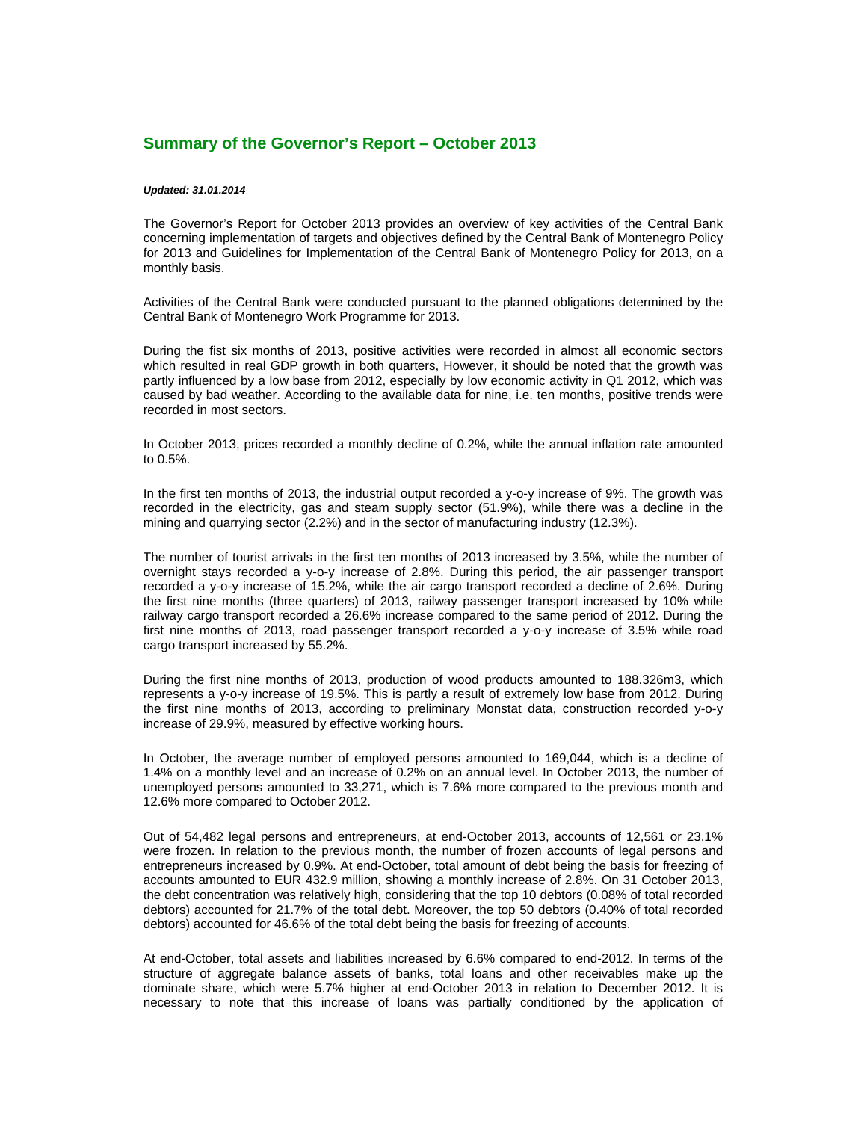## **Summary of the Governor's Report – October 2013**

## *Updated: 31.01.2014*

The Governor's Report for October 2013 provides an overview of key activities of the Central Bank concerning implementation of targets and objectives defined by the Central Bank of Montenegro Policy for 2013 and Guidelines for Implementation of the Central Bank of Montenegro Policy for 2013, on a monthly basis.

Activities of the Central Bank were conducted pursuant to the planned obligations determined by the Central Bank of Montenegro Work Programme for 2013.

During the fist six months of 2013, positive activities were recorded in almost all economic sectors which resulted in real GDP growth in both quarters, However, it should be noted that the growth was partly influenced by a low base from 2012, especially by low economic activity in Q1 2012, which was caused by bad weather. According to the available data for nine, i.e. ten months, positive trends were recorded in most sectors.

In October 2013, prices recorded a monthly decline of 0.2%, while the annual inflation rate amounted to 0.5%.

In the first ten months of 2013, the industrial output recorded a y-o-y increase of 9%. The growth was recorded in the electricity, gas and steam supply sector (51.9%), while there was a decline in the mining and quarrying sector (2.2%) and in the sector of manufacturing industry (12.3%).

The number of tourist arrivals in the first ten months of 2013 increased by 3.5%, while the number of overnight stays recorded a y-o-y increase of 2.8%. During this period, the air passenger transport recorded a y-o-y increase of 15.2%, while the air cargo transport recorded a decline of 2.6%. During the first nine months (three quarters) of 2013, railway passenger transport increased by 10% while railway cargo transport recorded a 26.6% increase compared to the same period of 2012. During the first nine months of 2013, road passenger transport recorded a y-o-y increase of 3.5% while road cargo transport increased by 55.2%.

During the first nine months of 2013, production of wood products amounted to 188.326m3, which represents a y-o-y increase of 19.5%. This is partly a result of extremely low base from 2012. During the first nine months of 2013, according to preliminary Monstat data, construction recorded y-o-y increase of 29.9%, measured by effective working hours.

In October, the average number of employed persons amounted to 169,044, which is a decline of 1.4% on a monthly level and an increase of 0.2% on an annual level. In October 2013, the number of unemployed persons amounted to 33,271, which is 7.6% more compared to the previous month and 12.6% more compared to October 2012.

Out of 54,482 legal persons and entrepreneurs, at end-October 2013, accounts of 12,561 or 23.1% were frozen. In relation to the previous month, the number of frozen accounts of legal persons and entrepreneurs increased by 0.9%. At end-October, total amount of debt being the basis for freezing of accounts amounted to EUR 432.9 million, showing a monthly increase of 2.8%. On 31 October 2013, the debt concentration was relatively high, considering that the top 10 debtors (0.08% of total recorded debtors) accounted for 21.7% of the total debt. Moreover, the top 50 debtors (0.40% of total recorded debtors) accounted for 46.6% of the total debt being the basis for freezing of accounts.

At end-October, total assets and liabilities increased by 6.6% compared to end-2012. In terms of the structure of aggregate balance assets of banks, total loans and other receivables make up the dominate share, which were 5.7% higher at end-October 2013 in relation to December 2012. It is necessary to note that this increase of loans was partially conditioned by the application of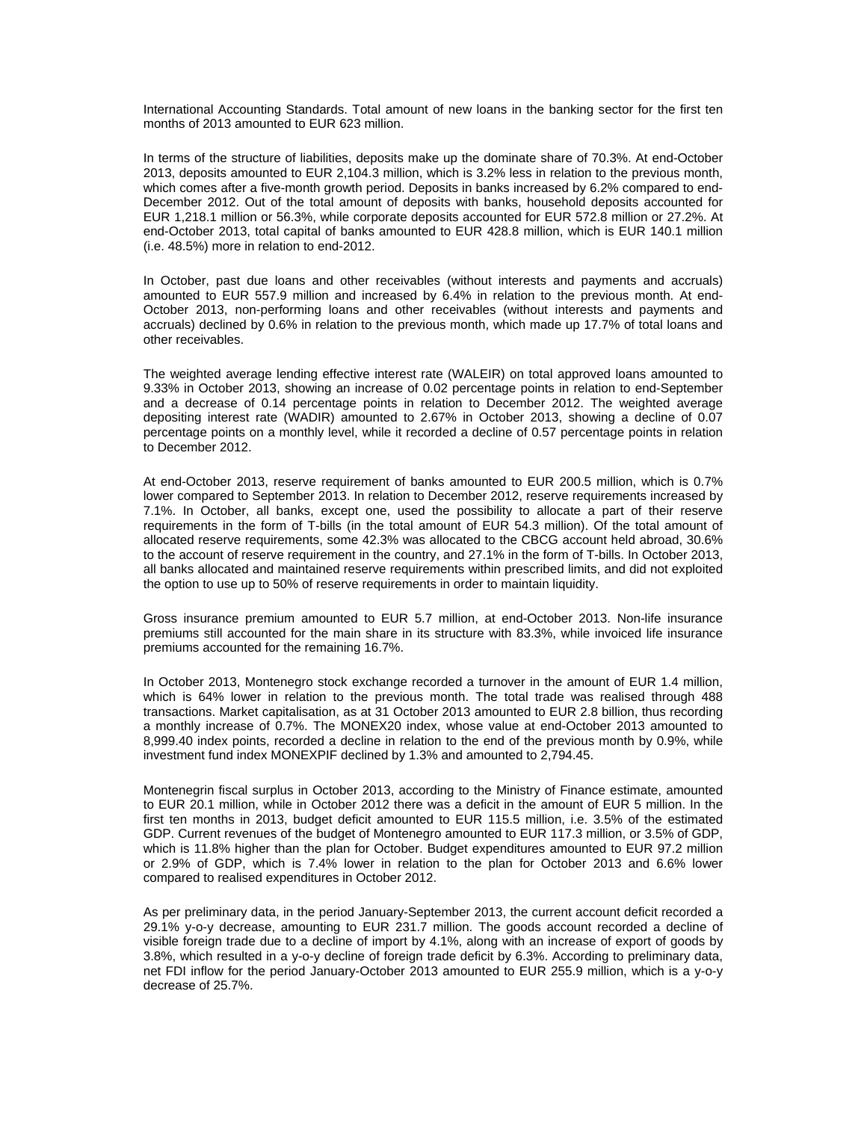International Accounting Standards. Total amount of new loans in the banking sector for the first ten months of 2013 amounted to EUR 623 million.

In terms of the structure of liabilities, deposits make up the dominate share of 70.3%. At end-October 2013, deposits amounted to EUR 2,104.3 million, which is 3.2% less in relation to the previous month, which comes after a five-month growth period. Deposits in banks increased by 6.2% compared to end-December 2012. Out of the total amount of deposits with banks, household deposits accounted for EUR 1,218.1 million or 56.3%, while corporate deposits accounted for EUR 572.8 million or 27.2%. At end-October 2013, total capital of banks amounted to EUR 428.8 million, which is EUR 140.1 million (i.e. 48.5%) more in relation to end-2012.

In October, past due loans and other receivables (without interests and payments and accruals) amounted to EUR 557.9 million and increased by 6.4% in relation to the previous month. At end-October 2013, non-performing loans and other receivables (without interests and payments and accruals) declined by 0.6% in relation to the previous month, which made up 17.7% of total loans and other receivables.

The weighted average lending effective interest rate (WALEIR) on total approved loans amounted to 9.33% in October 2013, showing an increase of 0.02 percentage points in relation to end-September and a decrease of 0.14 percentage points in relation to December 2012. The weighted average depositing interest rate (WADIR) amounted to 2.67% in October 2013, showing a decline of 0.07 percentage points on a monthly level, while it recorded a decline of 0.57 percentage points in relation to December 2012.

At end-October 2013, reserve requirement of banks amounted to EUR 200.5 million, which is 0.7% lower compared to September 2013. In relation to December 2012, reserve requirements increased by 7.1%. In October, all banks, except one, used the possibility to allocate a part of their reserve requirements in the form of T-bills (in the total amount of EUR 54.3 million). Of the total amount of allocated reserve requirements, some 42.3% was allocated to the CBCG account held abroad, 30.6% to the account of reserve requirement in the country, and 27.1% in the form of T-bills. In October 2013, all banks allocated and maintained reserve requirements within prescribed limits, and did not exploited the option to use up to 50% of reserve requirements in order to maintain liquidity.

Gross insurance premium amounted to EUR 5.7 million, at end-October 2013. Non-life insurance premiums still accounted for the main share in its structure with 83.3%, while invoiced life insurance premiums accounted for the remaining 16.7%.

In October 2013, Montenegro stock exchange recorded a turnover in the amount of EUR 1.4 million, which is 64% lower in relation to the previous month. The total trade was realised through 488 transactions. Market capitalisation, as at 31 October 2013 amounted to EUR 2.8 billion, thus recording a monthly increase of 0.7%. The MONEX20 index, whose value at end-October 2013 amounted to 8,999.40 index points, recorded a decline in relation to the end of the previous month by 0.9%, while investment fund index MONEXPIF declined by 1.3% and amounted to 2,794.45.

Montenegrin fiscal surplus in October 2013, according to the Ministry of Finance estimate, amounted to EUR 20.1 million, while in October 2012 there was a deficit in the amount of EUR 5 million. In the first ten months in 2013, budget deficit amounted to EUR 115.5 million, i.e. 3.5% of the estimated GDP. Current revenues of the budget of Montenegro amounted to EUR 117.3 million, or 3.5% of GDP, which is 11.8% higher than the plan for October. Budget expenditures amounted to EUR 97.2 million or 2.9% of GDP, which is 7.4% lower in relation to the plan for October 2013 and 6.6% lower compared to realised expenditures in October 2012.

As per preliminary data, in the period January-September 2013, the current account deficit recorded a 29.1% y-o-y decrease, amounting to EUR 231.7 million. The goods account recorded a decline of visible foreign trade due to a decline of import by 4.1%, along with an increase of export of goods by 3.8%, which resulted in a y-o-y decline of foreign trade deficit by 6.3%. According to preliminary data, net FDI inflow for the period January-October 2013 amounted to EUR 255.9 million, which is a y-o-y decrease of 25.7%.